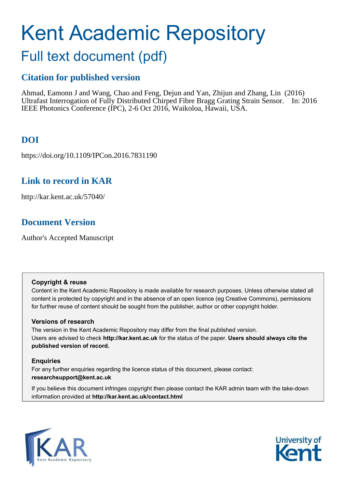# Kent Academic Repository

# Full text document (pdf)

## **Citation for published version**

Ahmad, Eamonn J and Wang, Chao and Feng, Dejun and Yan, Zhijun and Zhang, Lin (2016) Ultrafast Interrogation of Fully Distributed Chirped Fibre Bragg Grating Strain Sensor. In: 2016 IEEE Photonics Conference (IPC), 2-6 Oct 2016, Waikoloa, Hawaii, USA.

## **DOI**

https://doi.org/10.1109/IPCon.2016.7831190

## **Link to record in KAR**

http://kar.kent.ac.uk/57040/

## **Document Version**

Author's Accepted Manuscript

#### **Copyright & reuse**

Content in the Kent Academic Repository is made available for research purposes. Unless otherwise stated all content is protected by copyright and in the absence of an open licence (eg Creative Commons), permissions for further reuse of content should be sought from the publisher, author or other copyright holder.

#### **Versions of research**

The version in the Kent Academic Repository may differ from the final published version. Users are advised to check **http://kar.kent.ac.uk** for the status of the paper. **Users should always cite the published version of record.**

#### **Enquiries**

For any further enquiries regarding the licence status of this document, please contact: **researchsupport@kent.ac.uk**

If you believe this document infringes copyright then please contact the KAR admin team with the take-down information provided at **http://kar.kent.ac.uk/contact.html**



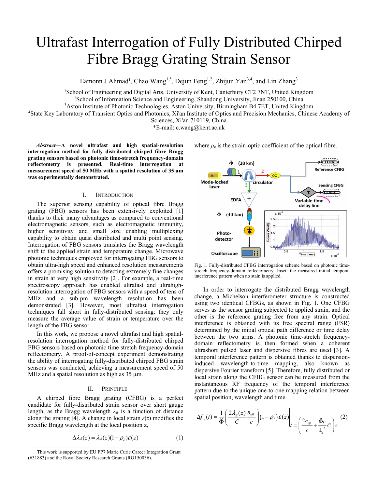## Ultrafast Interrogation of Fully Distributed Chirped Fibre Bragg Grating Strain Sensor

Eamonn J Ahmad<sup>1</sup>, Chao Wang<sup>1,\*</sup>, Dejun Feng<sup>1,2</sup>, Zhijun Yan<sup>3,4</sup>, and Lin Zhang<sup>3</sup>

<sup>1</sup>School of Engineering and Digital Arts, University of Kent, Canterbury CT2 7NT, United Kingdom <sup>2</sup>School of Information Science and Engineering, Shandong University, Jinan 250100, China

<sup>3</sup>Aston Institute of Photonic Technologies, Aston University, Birmingham B4 7ET, United Kingdom

<sup>4</sup>State Key Laboratory of Transient Optics and Photonics, Xi'an Institute of Optics and Precision Mechanics, Chinese Academy of

Sciences, Xi'an 710119, China

\*E-mail: c.wang@kent.ac.uk

Abstract-A novel ultrafast and high spatial-resolution **interrogation method for fully distributed chirped fibre Bragg grating sensors based on photonic time-stretch frequency-domain reflectometry is presented. Real-time interrogation at measurement speed of 50 MHz with a spatial resolution of 35 µm was experimentally demonstrated.** 

#### I. INTRODUCTION

The superior sensing capability of optical fibre Bragg grating (FBG) sensors has been extensively exploited [1] thanks to their many advantages as compared to conventional electromagnetic sensors, such as electromagnetic immunity, higher sensitivity and small size enabling multiplexing capability to obtain quasi distributed and multi point sensing. Interrogation of FBG sensors translates the Bragg wavelength shift to the applied strain and temperature change. Microwave photonic techniques employed for interrogating FBG sensors to obtain ultra-high speed and enhanced resolution measurements offers a promising solution to detecting extremely fine changes in strain at very high sensitivity [2]. For example, a real-time spectroscopy approach has enabled ultrafast and ultrahighresolution interrogation of FBG sensors with a speed of tens of MHz and a sub-pm wavelength resolution has been demonstrated [3]. However, most ultrafast interrogation techniques fall short in fully-distributed sensing: they only measure the average value of strain or temperature over the length of the FBG sensor.

In this work, we propose a novel ultrafast and high spatialresolution interrogation method for fully-distributed chirped FBG sensors based on photonic time stretch frequency-domain reflectometry. A proof-of-concept experiment demonstrating the ability of interrogating fully-distributed chirped FBG strain sensors was conducted, achieving a measurement speed of 50 MHz and a spatial resolution as high as 35  $\mu$ m.

#### II. PRINCIPLE

A chirped fibre Bragg grating (CFBG) is a perfect candidate for fully-distributed strain sensor over short gauge length, as the Bragg wavelength  $\lambda_B$  is a function of distance along the grating [4]. A change in local strain  $\varepsilon(z)$  modifies the specific Bragg wavelength at the local position z,

$$
\Delta \lambda_B(z) = \lambda_B(z)(1 - \rho_e)\varepsilon(z) \tag{1}
$$



where  $\rho_e$  is the strain-optic coefficient of the optical fibre.

Fig. 1. Fully-distributed CFBG interrogation scheme based on photonic timestretch frequency-domain reflectometry. Inset: the measured initial temporal interference pattern when no stain is applied.

In order to interrogate the distributed Bragg wavelength change, a Michelson interferometer structure is constructed using two identical CFBGs, as shown in Fig. 1. One CFBG serves as the sensor grating subjected to applied strain, and the other is the reference grating free from any strain. Optical interference is obtained with its free spectral range (FSR) determined by the initial optical path difference or time delay between the two arms. A photonic time-stretch frequencydomain reflectometry is then formed when a coherent ultrashort pulsed laser and dispersive fibres are used [3]. A temporal interference pattern is obtained thanks to dispersioninduced wavelength-to-time mapping, also known as dispersive Fourier transform [5]. Therefore, fully distributed or local strain along the CFBG sensor can be measured from the instantaneous RF frequency of the temporal interference pattern due to the unique one-to-one mapping relation between spatial position, wavelength and time.

$$
\Delta f_m(t) = \frac{1}{\ddot{\Phi}} \left( \frac{2 \lambda_B(z)}{C} \frac{n_{\text{eff}}}{c} \right) (1 - \rho_e) \mathcal{E}(z) \Bigg|_{t = \left( \frac{2 n_{\text{eff}}}{c} + \frac{\ddot{\Phi} c}{\lambda_a^2} C \right) z} \tag{2}
$$

This work is supported by EU FP7 Marie Curie Career Integration Grant (631883) and the Royal Society Research Grants (RG150036).